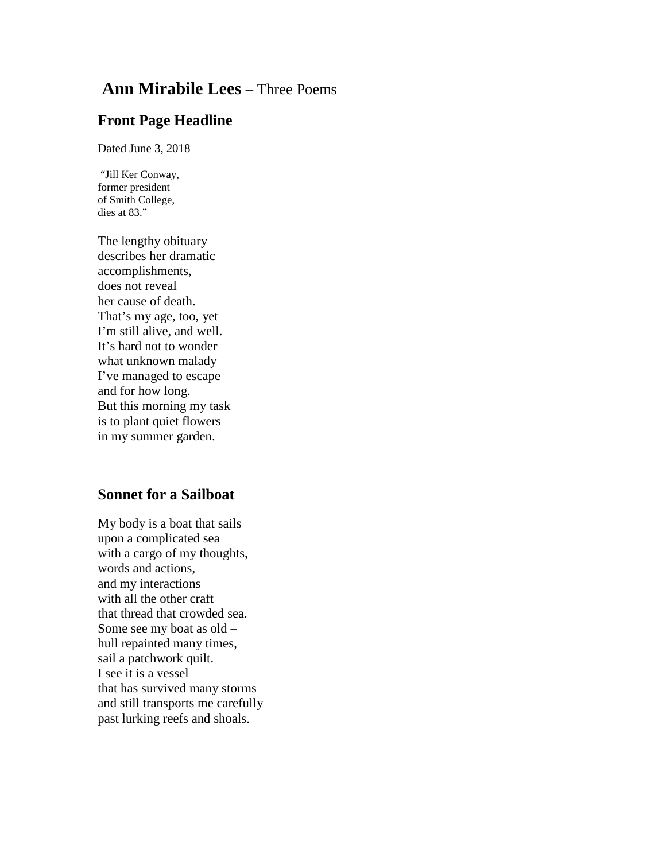## **Ann Mirabile Lees** – Three Poems

## **Front Page Headline**

Dated June 3, 2018

"Jill Ker Conway, former president of Smith College, dies at 83."

The lengthy obituary describes her dramatic accomplishments, does not reveal her cause of death. That's my age, too, yet I'm still alive, and well. It's hard not to wonder what unknown malady I've managed to escape and for how long. But this morning my task is to plant quiet flowers in my summer garden.

## **Sonnet for a Sailboat**

My body is a boat that sails upon a complicated sea with a cargo of my thoughts, words and actions, and my interactions with all the other craft that thread that crowded sea. Some see my boat as old – hull repainted many times, sail a patchwork quilt. I see it is a vessel that has survived many storms and still transports me carefully past lurking reefs and shoals.